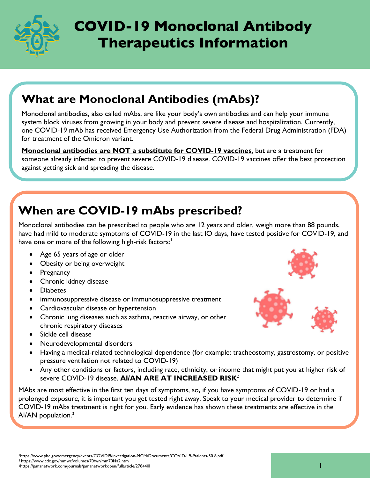

# **COVID-19 Monoclonal Antibody Therapeutics Information**

## **What are Monoclonal Antibodies (mAbs)?**

Monoclonal antibodies, also called mAbs, are like your body's own antibodies and can help your immune system block viruses from growing in your body and prevent severe disease and hospitalization. Currently, one COVID-19 mAb has received Emergency Use Authorization from the Federal Drug Administration (FDA) for treatment of the Omicron variant.

**Monoclonal antibodies are NOT a substitute for COVID-19 vaccines**, but are a treatment for someone already infected to prevent severe COVID-19 disease. COVID-19 vaccines offer the best protection against getting sick and spreading the disease.

## **When are COVID-19 mAbs prescribed?**

Monoclonal antibodies can be prescribed to people who are 12 years and older, weigh more than 88 pounds, have had mild to moderate symptoms of COVID-19 in the last IO days, have tested positive for COVID-19, and have one or more of the following high-risk factors:<sup>1</sup>

- Age 65 years of age or older
- Obesity or being overweight
- Pregnancy
- Chronic kidney disease
- Diabetes
- immunosuppressive disease or immunosuppressive treatment
- Cardiovascular disease or hypertension
- Chronic lung diseases such as asthma, reactive airway, or other chronic respiratory diseases
- Sickle cell disease
- Neurodevelopmental disorders
- Having a medical-related technological dependence (for example: tracheostomy, gastrostomy, or positive pressure ventilation not related to COVID-19)
- Any other conditions or factors, including race, ethnicity, or income that might put you at higher risk of severe COVID-19 disease. **Al/AN ARE AT INCREASED RISK**<sup>2</sup>

MAbs are most effective in the first ten days of symptoms, so, if you have symptoms of COVID-19 or had a prolonged exposure, it is important you get tested right away. Speak to your medical provider to determine if COVID-19 mAbs treatment is right for you. Early evidence has shown these treatments are effective in the Al/AN population.<sup>3</sup>